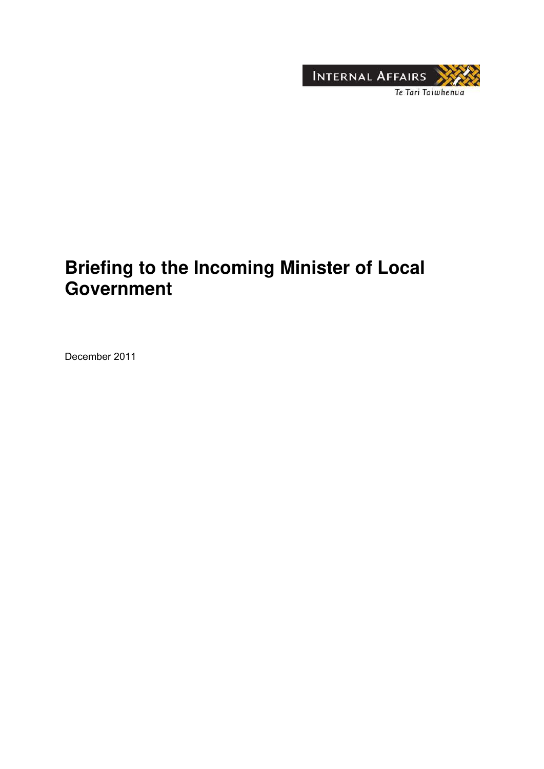

# **Briefing to the Incoming Minister of Local Government**

December 2011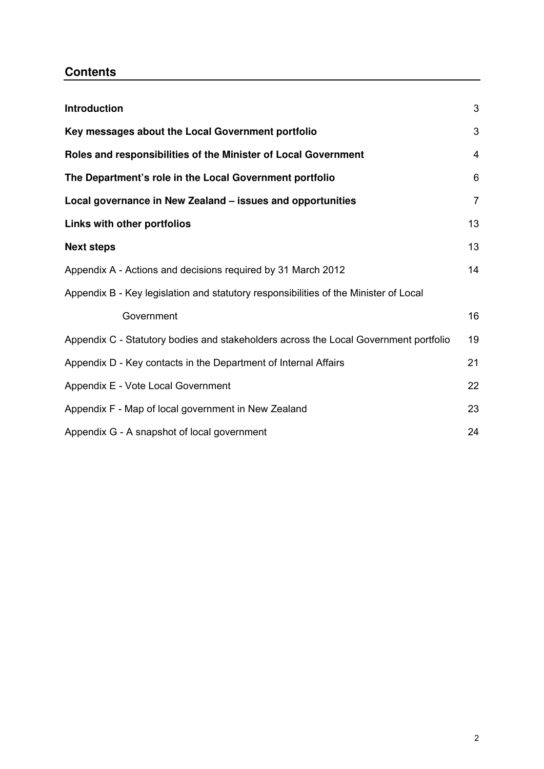## **Contents**

| Introduction                                                                         | 3              |
|--------------------------------------------------------------------------------------|----------------|
| Key messages about the Local Government portfolio                                    | 3              |
| Roles and responsibilities of the Minister of Local Government                       | $\overline{4}$ |
| The Department's role in the Local Government portfolio                              | 6              |
| Local governance in New Zealand - issues and opportunities                           | $\overline{7}$ |
| Links with other portfolios                                                          | 13             |
| <b>Next steps</b>                                                                    | 13             |
| Appendix A - Actions and decisions required by 31 March 2012                         | 14             |
| Appendix B - Key legislation and statutory responsibilities of the Minister of Local |                |
| Government                                                                           | 16             |
| Appendix C - Statutory bodies and stakeholders across the Local Government portfolio | 19             |
| Appendix D - Key contacts in the Department of Internal Affairs                      | 21             |
| Appendix E - Vote Local Government                                                   | 22             |
| Appendix F - Map of local government in New Zealand                                  | 23             |
| Appendix G - A snapshot of local government                                          | 24             |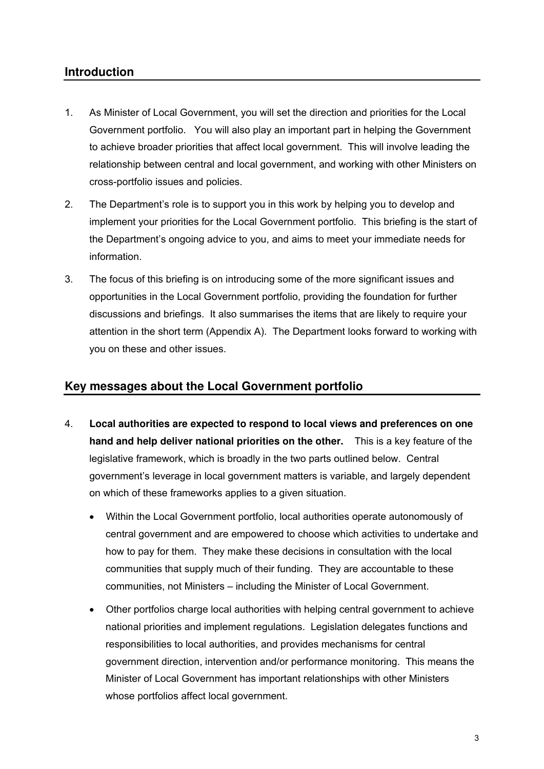### **Introduction**

- 1. As Minister of Local Government, you will set the direction and priorities for the Local Government portfolio. You will also play an important part in helping the Government to achieve broader priorities that affect local government. This will involve leading the relationship between central and local government, and working with other Ministers on cross-portfolio issues and policies.
- 2. The Department's role is to support you in this work by helping you to develop and implement your priorities for the Local Government portfolio. This briefing is the start of the Department's ongoing advice to you, and aims to meet your immediate needs for information.
- 3. The focus of this briefing is on introducing some of the more significant issues and opportunities in the Local Government portfolio, providing the foundation for further discussions and briefings. It also summarises the items that are likely to require your attention in the short term (Appendix A). The Department looks forward to working with you on these and other issues.

### **Key messages about the Local Government portfolio**

- 4. **Local authorities are expected to respond to local views and preferences on one hand and help deliver national priorities on the other.** This is a key feature of the legislative framework, which is broadly in the two parts outlined below. Central government's leverage in local government matters is variable, and largely dependent on which of these frameworks applies to a given situation.
	- Within the Local Government portfolio, local authorities operate autonomously of central government and are empowered to choose which activities to undertake and how to pay for them. They make these decisions in consultation with the local communities that supply much of their funding. They are accountable to these communities, not Ministers – including the Minister of Local Government.
	- Other portfolios charge local authorities with helping central government to achieve national priorities and implement regulations*.* Legislation delegates functions and responsibilities to local authorities, and provides mechanisms for central government direction, intervention and/or performance monitoring. This means the Minister of Local Government has important relationships with other Ministers whose portfolios affect local government.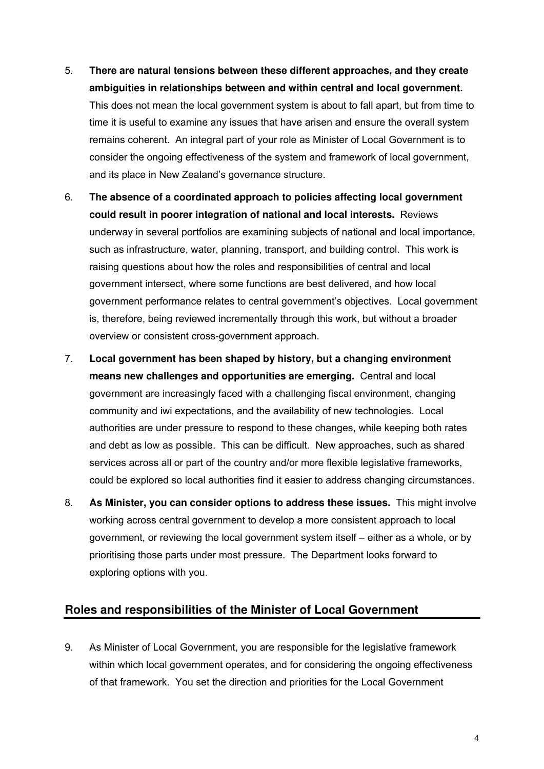- 5. **There are natural tensions between these different approaches, and they create ambiguities in relationships between and within central and local government.** This does not mean the local government system is about to fall apart, but from time to time it is useful to examine any issues that have arisen and ensure the overall system remains coherent. An integral part of your role as Minister of Local Government is to consider the ongoing effectiveness of the system and framework of local government, and its place in New Zealand's governance structure.
- 6. **The absence of a coordinated approach to policies affecting local government could result in poorer integration of national and local interests.** Reviews underway in several portfolios are examining subjects of national and local importance, such as infrastructure, water, planning, transport, and building control. This work is raising questions about how the roles and responsibilities of central and local government intersect, where some functions are best delivered, and how local government performance relates to central government's objectives. Local government is, therefore, being reviewed incrementally through this work, but without a broader overview or consistent cross-government approach.
- 7. **Local government has been shaped by history, but a changing environment means new challenges and opportunities are emerging.** Central and local government are increasingly faced with a challenging fiscal environment, changing community and iwi expectations, and the availability of new technologies. Local authorities are under pressure to respond to these changes, while keeping both rates and debt as low as possible. This can be difficult. New approaches, such as shared services across all or part of the country and/or more flexible legislative frameworks, could be explored so local authorities find it easier to address changing circumstances.
- 8. **As Minister, you can consider options to address these issues.** This might involve working across central government to develop a more consistent approach to local government, or reviewing the local government system itself – either as a whole, or by prioritising those parts under most pressure. The Department looks forward to exploring options with you.

#### **Roles and responsibilities of the Minister of Local Government**

9. As Minister of Local Government, you are responsible for the legislative framework within which local government operates, and for considering the ongoing effectiveness of that framework. You set the direction and priorities for the Local Government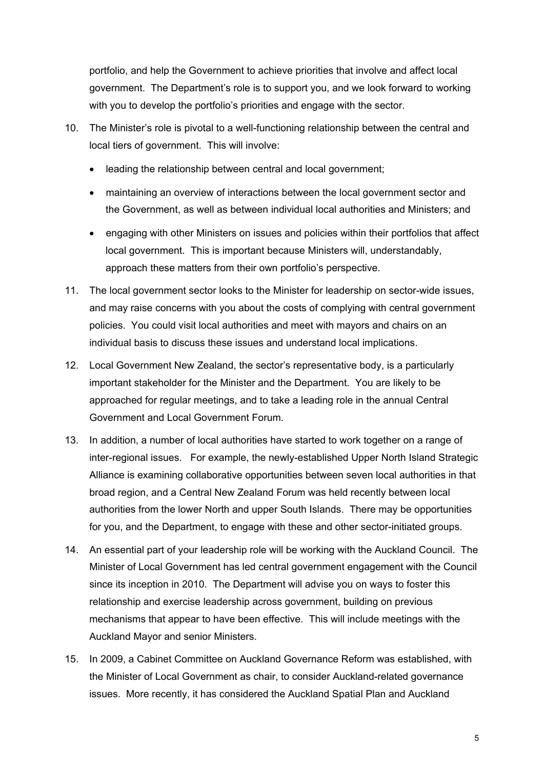portfolio, and help the Government to achieve priorities that involve and affect local government. The Department's role is to support you, and we look forward to working with you to develop the portfolio's priorities and engage with the sector.

- 10. The Minister's role is pivotal to a well-functioning relationship between the central and local tiers of government. This will involve:
	- leading the relationship between central and local government;
	- maintaining an overview of interactions between the local government sector and the Government, as well as between individual local authorities and Ministers; and
	- engaging with other Ministers on issues and policies within their portfolios that affect local government. This is important because Ministers will, understandably, approach these matters from their own portfolio's perspective.
- 11. The local government sector looks to the Minister for leadership on sector-wide issues, and may raise concerns with you about the costs of complying with central government policies. You could visit local authorities and meet with mayors and chairs on an individual basis to discuss these issues and understand local implications.
- 12. Local Government New Zealand, the sector's representative body, is a particularly important stakeholder for the Minister and the Department. You are likely to be approached for regular meetings, and to take a leading role in the annual Central Government and Local Government Forum.
- 13. In addition, a number of local authorities have started to work together on a range of inter-regional issues. For example, the newly-established Upper North Island Strategic Alliance is examining collaborative opportunities between seven local authorities in that broad region, and a Central New Zealand Forum was held recently between local authorities from the lower North and upper South Islands. There may be opportunities for you, and the Department, to engage with these and other sector-initiated groups.
- 14. An essential part of your leadership role will be working with the Auckland Council. The Minister of Local Government has led central government engagement with the Council since its inception in 2010. The Department will advise you on ways to foster this relationship and exercise leadership across government, building on previous mechanisms that appear to have been effective. This will include meetings with the Auckland Mayor and senior Ministers.
- 15. In 2009, a Cabinet Committee on Auckland Governance Reform was established, with the Minister of Local Government as chair, to consider Auckland-related governance issues. More recently, it has considered the Auckland Spatial Plan and Auckland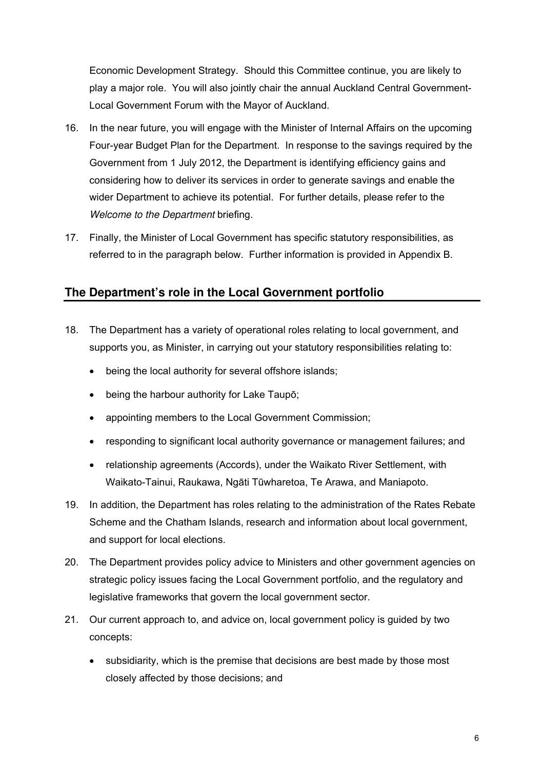Economic Development Strategy. Should this Committee continue, you are likely to play a major role. You will also jointly chair the annual Auckland Central Government-Local Government Forum with the Mayor of Auckland.

- 16. In the near future, you will engage with the Minister of Internal Affairs on the upcoming Four-year Budget Plan for the Department. In response to the savings required by the Government from 1 July 2012, the Department is identifying efficiency gains and considering how to deliver its services in order to generate savings and enable the wider Department to achieve its potential. For further details, please refer to the *Welcome to the Department* briefing.
- 17. Finally, the Minister of Local Government has specific statutory responsibilities, as referred to in the paragraph below. Further information is provided in Appendix B.

## **The Department's role in the Local Government portfolio**

- 18. The Department has a variety of operational roles relating to local government, and supports you, as Minister, in carrying out your statutory responsibilities relating to:
	- being the local authority for several offshore islands;
	- being the harbour authority for Lake Taupō;
	- appointing members to the Local Government Commission;
	- responding to significant local authority governance or management failures; and
	- relationship agreements (Accords), under the Waikato River Settlement, with Waikato-Tainui, Raukawa, Ngāti Tūwharetoa, Te Arawa, and Maniapoto.
- 19. In addition, the Department has roles relating to the administration of the Rates Rebate Scheme and the Chatham Islands, research and information about local government, and support for local elections.
- 20. The Department provides policy advice to Ministers and other government agencies on strategic policy issues facing the Local Government portfolio, and the regulatory and legislative frameworks that govern the local government sector.
- 21. Our current approach to, and advice on, local government policy is guided by two concepts:
	- subsidiarity, which is the premise that decisions are best made by those most closely affected by those decisions; and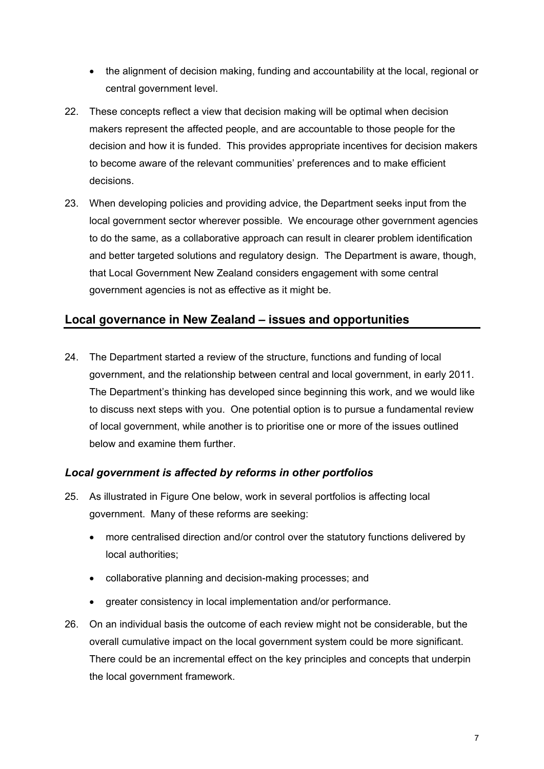- the alignment of decision making, funding and accountability at the local, regional or central government level.
- 22. These concepts reflect a view that decision making will be optimal when decision makers represent the affected people, and are accountable to those people for the decision and how it is funded. This provides appropriate incentives for decision makers to become aware of the relevant communities' preferences and to make efficient decisions.
- 23. When developing policies and providing advice, the Department seeks input from the local government sector wherever possible. We encourage other government agencies to do the same, as a collaborative approach can result in clearer problem identification and better targeted solutions and regulatory design. The Department is aware, though, that Local Government New Zealand considers engagement with some central government agencies is not as effective as it might be.

#### **Local governance in New Zealand – issues and opportunities**

24. The Department started a review of the structure, functions and funding of local government, and the relationship between central and local government, in early 2011. The Department's thinking has developed since beginning this work, and we would like to discuss next steps with you. One potential option is to pursue a fundamental review of local government, while another is to prioritise one or more of the issues outlined below and examine them further.

#### *Local government is affected by reforms in other portfolios*

- 25. As illustrated in Figure One below, work in several portfolios is affecting local government. Many of these reforms are seeking:
	- more centralised direction and/or control over the statutory functions delivered by local authorities;
	- collaborative planning and decision-making processes; and
	- greater consistency in local implementation and/or performance.
- 26. On an individual basis the outcome of each review might not be considerable, but the overall cumulative impact on the local government system could be more significant. There could be an incremental effect on the key principles and concepts that underpin the local government framework.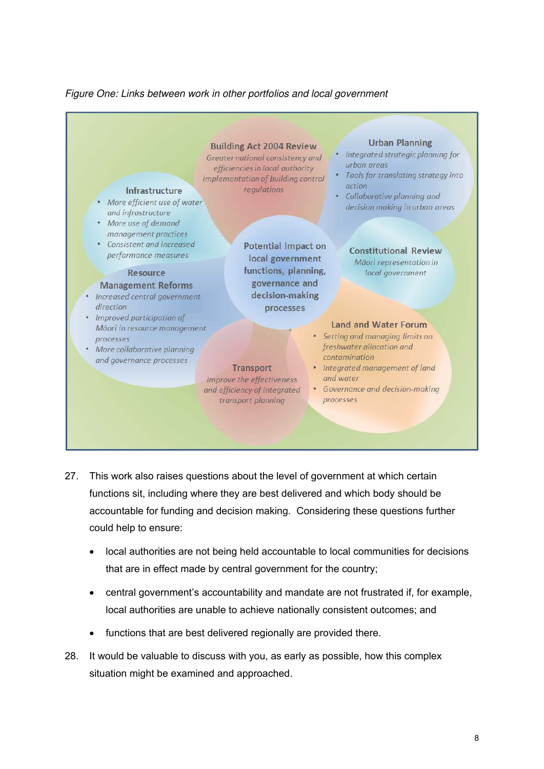#### *Figure One: Links between work in other portfolios and local government*



- 27. This work also raises questions about the level of government at which certain functions sit, including where they are best delivered and which body should be accountable for funding and decision making. Considering these questions further could help to ensure:
	- local authorities are not being held accountable to local communities for decisions that are in effect made by central government for the country;
	- central government's accountability and mandate are not frustrated if, for example, local authorities are unable to achieve nationally consistent outcomes; and
	- functions that are best delivered regionally are provided there.
- 28. It would be valuable to discuss with you, as early as possible, how this complex situation might be examined and approached.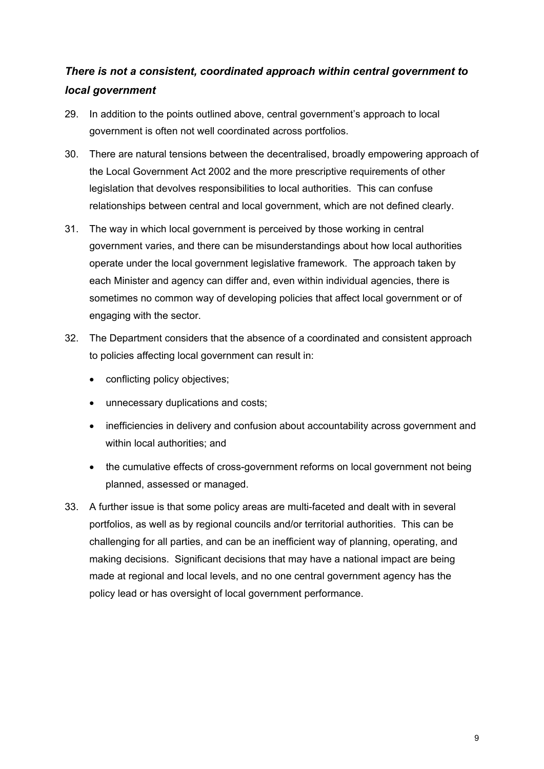## *There is not a consistent, coordinated approach within central government to local government*

- 29. In addition to the points outlined above, central government's approach to local government is often not well coordinated across portfolios.
- 30. There are natural tensions between the decentralised, broadly empowering approach of the Local Government Act 2002 and the more prescriptive requirements of other legislation that devolves responsibilities to local authorities. This can confuse relationships between central and local government, which are not defined clearly.
- 31. The way in which local government is perceived by those working in central government varies, and there can be misunderstandings about how local authorities operate under the local government legislative framework. The approach taken by each Minister and agency can differ and, even within individual agencies, there is sometimes no common way of developing policies that affect local government or of engaging with the sector.
- 32. The Department considers that the absence of a coordinated and consistent approach to policies affecting local government can result in:
	- conflicting policy objectives;
	- unnecessary duplications and costs;
	- inefficiencies in delivery and confusion about accountability across government and within local authorities; and
	- the cumulative effects of cross-government reforms on local government not being planned, assessed or managed.
- 33. A further issue is that some policy areas are multi-faceted and dealt with in several portfolios, as well as by regional councils and/or territorial authorities. This can be challenging for all parties, and can be an inefficient way of planning, operating, and making decisions. Significant decisions that may have a national impact are being made at regional and local levels, and no one central government agency has the policy lead or has oversight of local government performance.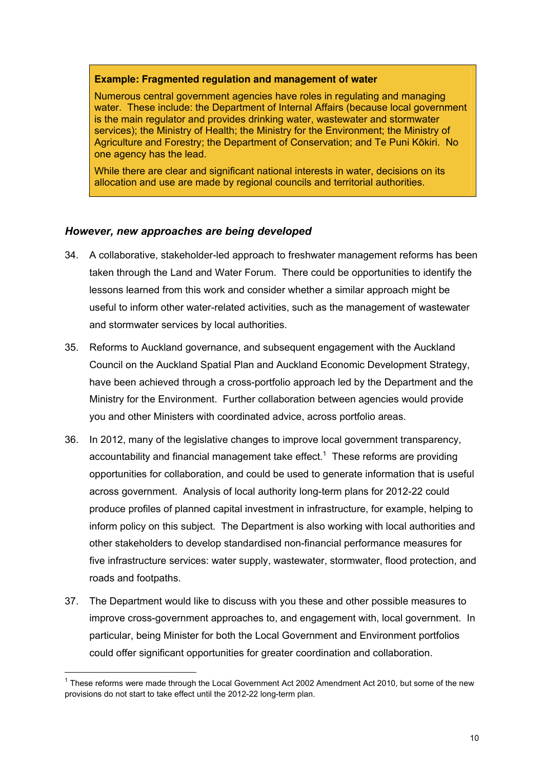#### **Example: Fragmented regulation and management of water**

Numerous central government agencies have roles in regulating and managing water. These include: the Department of Internal Affairs (because local government is the main regulator and provides drinking water, wastewater and stormwater services); the Ministry of Health; the Ministry for the Environment; the Ministry of Agriculture and Forestry; the Department of Conservation; and Te Puni Kōkiri. No one agency has the lead.

While there are clear and significant national interests in water, decisions on its allocation and use are made by regional councils and territorial authorities.

#### *However, new approaches are being developed*

- 34. A collaborative, stakeholder-led approach to freshwater management reforms has been taken through the Land and Water Forum. There could be opportunities to identify the lessons learned from this work and consider whether a similar approach might be useful to inform other water-related activities, such as the management of wastewater and stormwater services by local authorities.
- 35. Reforms to Auckland governance, and subsequent engagement with the Auckland Council on the Auckland Spatial Plan and Auckland Economic Development Strategy, have been achieved through a cross-portfolio approach led by the Department and the Ministry for the Environment. Further collaboration between agencies would provide you and other Ministers with coordinated advice, across portfolio areas.
- 36. In 2012, many of the legislative changes to improve local government transparency, accountability and financial management take effect. $1$  These reforms are providing opportunities for collaboration, and could be used to generate information that is useful across government. Analysis of local authority long-term plans for 2012-22 could produce profiles of planned capital investment in infrastructure, for example, helping to inform policy on this subject. The Department is also working with local authorities and other stakeholders to develop standardised non-financial performance measures for five infrastructure services: water supply, wastewater, stormwater, flood protection, and roads and footpaths.
- 37. The Department would like to discuss with you these and other possible measures to improve cross-government approaches to, and engagement with, local government. In particular, being Minister for both the Local Government and Environment portfolios could offer significant opportunities for greater coordination and collaboration.

-

 $1$  These reforms were made through the Local Government Act 2002 Amendment Act 2010, but some of the new provisions do not start to take effect until the 2012-22 long-term plan.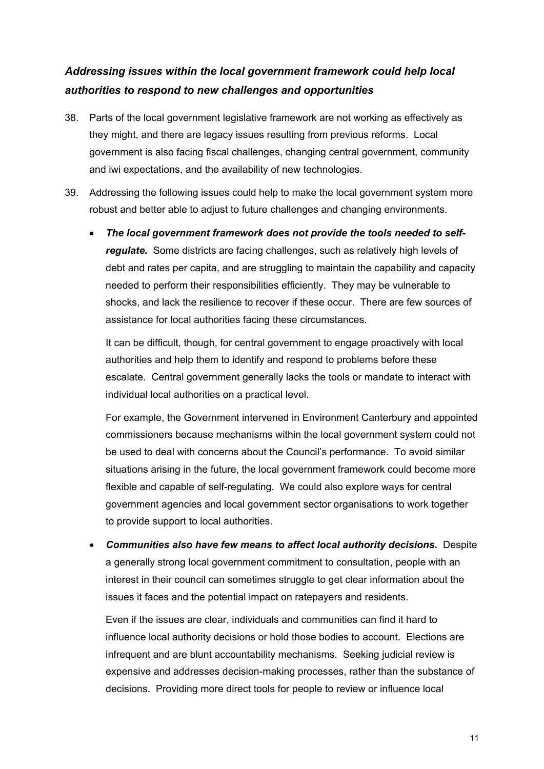## *Addressing issues within the local government framework could help local authorities to respond to new challenges and opportunities*

- 38. Parts of the local government legislative framework are not working as effectively as they might, and there are legacy issues resulting from previous reforms. Local government is also facing fiscal challenges, changing central government, community and iwi expectations, and the availability of new technologies.
- 39. Addressing the following issues could help to make the local government system more robust and better able to adjust to future challenges and changing environments.
	- *The local government framework does not provide the tools needed to selfregulate.* Some districts are facing challenges, such as relatively high levels of debt and rates per capita, and are struggling to maintain the capability and capacity needed to perform their responsibilities efficiently. They may be vulnerable to shocks, and lack the resilience to recover if these occur. There are few sources of assistance for local authorities facing these circumstances.

It can be difficult, though, for central government to engage proactively with local authorities and help them to identify and respond to problems before these escalate. Central government generally lacks the tools or mandate to interact with individual local authorities on a practical level.

For example, the Government intervened in Environment Canterbury and appointed commissioners because mechanisms within the local government system could not be used to deal with concerns about the Council's performance. To avoid similar situations arising in the future, the local government framework could become more flexible and capable of self-regulating. We could also explore ways for central government agencies and local government sector organisations to work together to provide support to local authorities.

• *Communities also have few means to affect local authority decisions.* Despite a generally strong local government commitment to consultation, people with an interest in their council can sometimes struggle to get clear information about the issues it faces and the potential impact on ratepayers and residents.

Even if the issues are clear, individuals and communities can find it hard to influence local authority decisions or hold those bodies to account. Elections are infrequent and are blunt accountability mechanisms. Seeking judicial review is expensive and addresses decision-making processes, rather than the substance of decisions. Providing more direct tools for people to review or influence local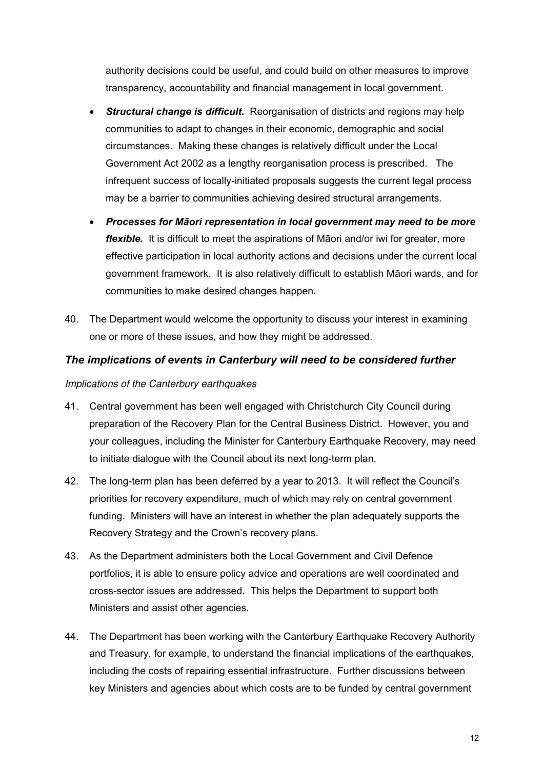authority decisions could be useful, and could build on other measures to improve transparency, accountability and financial management in local government.

- *Structural change is difficult.* Reorganisation of districts and regions may help communities to adapt to changes in their economic, demographic and social circumstances. Making these changes is relatively difficult under the Local Government Act 2002 as a lengthy reorganisation process is prescribed. The infrequent success of locally-initiated proposals suggests the current legal process may be a barrier to communities achieving desired structural arrangements.
- *Processes for Māori representation in local government may need to be more flexible.* It is difficult to meet the aspirations of Māori and/or iwi for greater, more effective participation in local authority actions and decisions under the current local government framework. It is also relatively difficult to establish Māori wards, and for communities to make desired changes happen.
- 40. The Department would welcome the opportunity to discuss your interest in examining one or more of these issues, and how they might be addressed.

#### *The implications of events in Canterbury will need to be considered further*

#### *Implications of the Canterbury earthquakes*

- 41. Central government has been well engaged with Christchurch City Council during preparation of the Recovery Plan for the Central Business District. However, you and your colleagues, including the Minister for Canterbury Earthquake Recovery, may need to initiate dialogue with the Council about its next long-term plan.
- 42. The long-term plan has been deferred by a year to 2013. It will reflect the Council's priorities for recovery expenditure, much of which may rely on central government funding. Ministers will have an interest in whether the plan adequately supports the Recovery Strategy and the Crown's recovery plans.
- 43. As the Department administers both the Local Government and Civil Defence portfolios, it is able to ensure policy advice and operations are well coordinated and cross-sector issues are addressed. This helps the Department to support both Ministers and assist other agencies.
- 44. The Department has been working with the Canterbury Earthquake Recovery Authority and Treasury, for example, to understand the financial implications of the earthquakes, including the costs of repairing essential infrastructure. Further discussions between key Ministers and agencies about which costs are to be funded by central government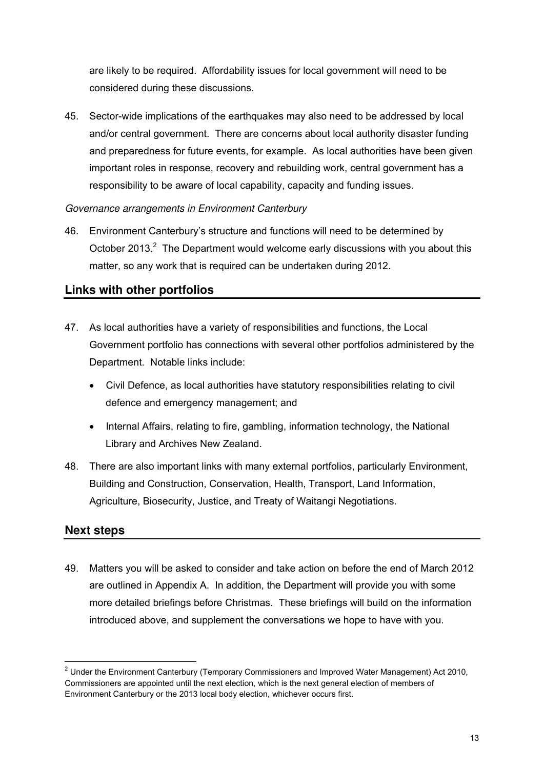are likely to be required. Affordability issues for local government will need to be considered during these discussions.

45. Sector-wide implications of the earthquakes may also need to be addressed by local and/or central government. There are concerns about local authority disaster funding and preparedness for future events, for example. As local authorities have been given important roles in response, recovery and rebuilding work, central government has a responsibility to be aware of local capability, capacity and funding issues.

#### *Governance arrangements in Environment Canterbury*

46. Environment Canterbury's structure and functions will need to be determined by October 2013. $<sup>2</sup>$  The Department would welcome early discussions with you about this</sup> matter, so any work that is required can be undertaken during 2012.

#### **Links with other portfolios**

- 47. As local authorities have a variety of responsibilities and functions, the Local Government portfolio has connections with several other portfolios administered by the Department. Notable links include:
	- Civil Defence, as local authorities have statutory responsibilities relating to civil defence and emergency management; and
	- Internal Affairs, relating to fire, gambling, information technology, the National Library and Archives New Zealand.
- 48. There are also important links with many external portfolios, particularly Environment, Building and Construction, Conservation, Health, Transport, Land Information, Agriculture, Biosecurity, Justice, and Treaty of Waitangi Negotiations.

#### **Next steps**

-

49. Matters you will be asked to consider and take action on before the end of March 2012 are outlined in Appendix A. In addition, the Department will provide you with some more detailed briefings before Christmas. These briefings will build on the information introduced above, and supplement the conversations we hope to have with you.

 $2$  Under the Environment Canterbury (Temporary Commissioners and Improved Water Management) Act 2010, Commissioners are appointed until the next election, which is the next general election of members of Environment Canterbury or the 2013 local body election, whichever occurs first.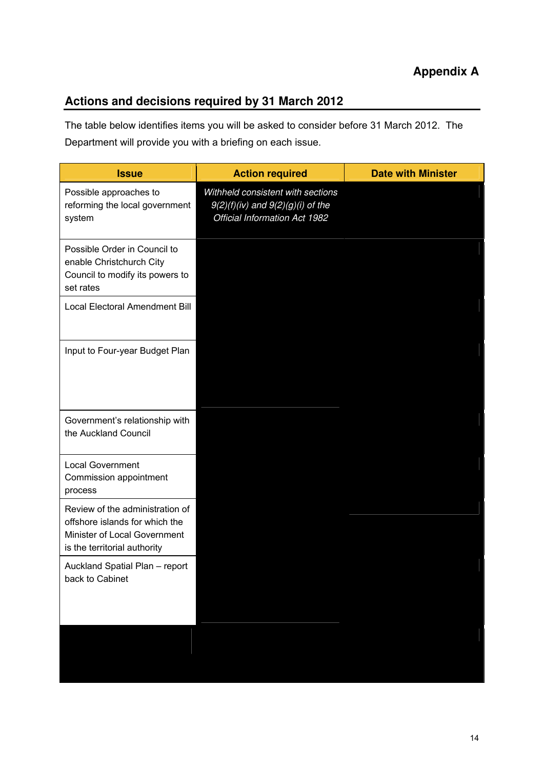## **Actions and decisions required by 31 March 2012**

The table below identifies items you will be asked to consider before 31 March 2012. The Department will provide you with a briefing on each issue.

| <b>Issue</b>                                                                                                                      | <b>Action required</b>                                                                                      | <b>Date with Minister</b> |
|-----------------------------------------------------------------------------------------------------------------------------------|-------------------------------------------------------------------------------------------------------------|---------------------------|
| Possible approaches to<br>reforming the local government<br>system                                                                | Withheld consistent with sections<br>$9(2)(f)(iv)$ and $9(2)(g)(i)$ of the<br>Official Information Act 1982 |                           |
| Possible Order in Council to<br>enable Christchurch City<br>Council to modify its powers to<br>set rates                          |                                                                                                             |                           |
| Local Electoral Amendment Bill                                                                                                    |                                                                                                             |                           |
| Input to Four-year Budget Plan                                                                                                    |                                                                                                             |                           |
| Government's relationship with<br>the Auckland Council                                                                            |                                                                                                             |                           |
| <b>Local Government</b><br>Commission appointment<br>process                                                                      |                                                                                                             |                           |
| Review of the administration of<br>offshore islands for which the<br>Minister of Local Government<br>is the territorial authority |                                                                                                             |                           |
| Auckland Spatial Plan - report<br>back to Cabinet                                                                                 |                                                                                                             |                           |
|                                                                                                                                   |                                                                                                             |                           |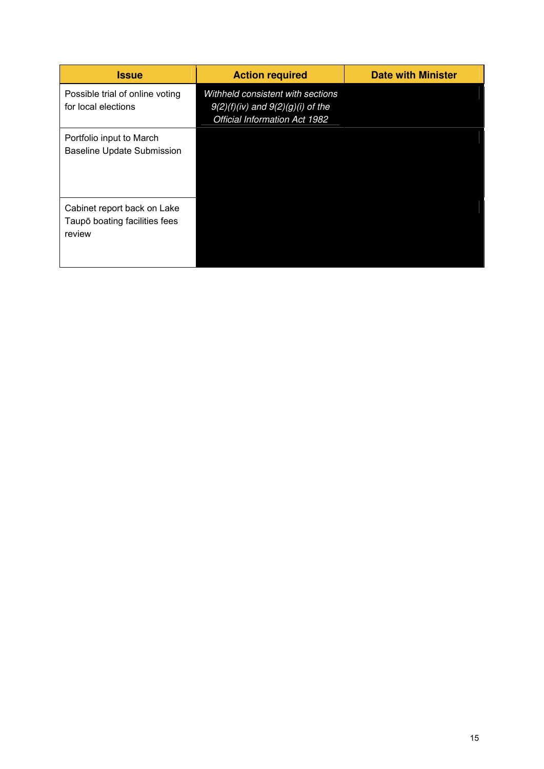| <b>Issue</b>                                                           | <b>Action required</b>                                                                                             | <b>Date with Minister</b> |
|------------------------------------------------------------------------|--------------------------------------------------------------------------------------------------------------------|---------------------------|
| Possible trial of online voting<br>for local elections                 | Withheld consistent with sections<br>$9(2)(f)(iv)$ and $9(2)(g)(i)$ of the<br><b>Official Information Act 1982</b> |                           |
| Portfolio input to March<br><b>Baseline Update Submission</b>          |                                                                                                                    |                           |
| Cabinet report back on Lake<br>Taupō boating facilities fees<br>review |                                                                                                                    |                           |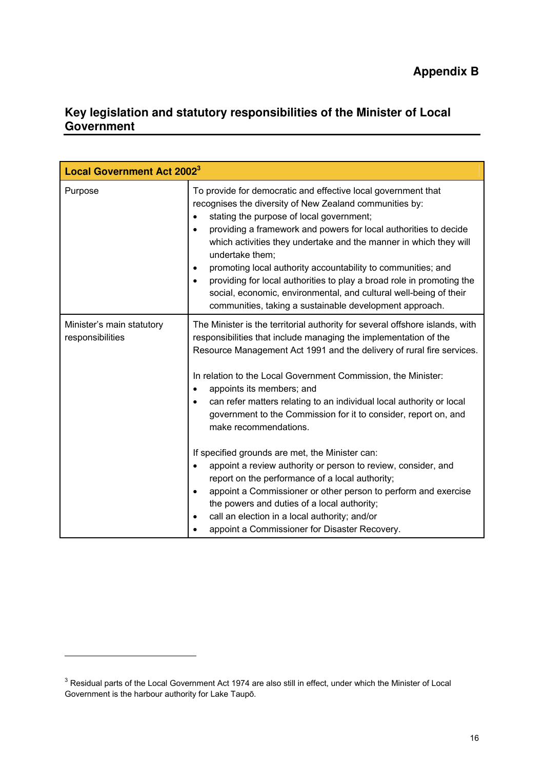## **Key legislation and statutory responsibilities of the Minister of Local Government**

| <b>Local Government Act 2002<sup>3</sup></b>  |                                                                                                                                                                                                                                                                                                                                                                                                                                                                                                                                                                                                                |
|-----------------------------------------------|----------------------------------------------------------------------------------------------------------------------------------------------------------------------------------------------------------------------------------------------------------------------------------------------------------------------------------------------------------------------------------------------------------------------------------------------------------------------------------------------------------------------------------------------------------------------------------------------------------------|
| Purpose                                       | To provide for democratic and effective local government that<br>recognises the diversity of New Zealand communities by:<br>stating the purpose of local government;<br>providing a framework and powers for local authorities to decide<br>which activities they undertake and the manner in which they will<br>undertake them;<br>promoting local authority accountability to communities; and<br>٠<br>providing for local authorities to play a broad role in promoting the<br>social, economic, environmental, and cultural well-being of their<br>communities, taking a sustainable development approach. |
| Minister's main statutory<br>responsibilities | The Minister is the territorial authority for several offshore islands, with<br>responsibilities that include managing the implementation of the<br>Resource Management Act 1991 and the delivery of rural fire services.<br>In relation to the Local Government Commission, the Minister:<br>appoints its members; and<br>can refer matters relating to an individual local authority or local<br>government to the Commission for it to consider, report on, and<br>make recommendations.                                                                                                                    |
|                                               | If specified grounds are met, the Minister can:<br>appoint a review authority or person to review, consider, and<br>report on the performance of a local authority;<br>appoint a Commissioner or other person to perform and exercise<br>the powers and duties of a local authority;<br>call an election in a local authority; and/or<br>appoint a Commissioner for Disaster Recovery.                                                                                                                                                                                                                         |

-

 $3$  Residual parts of the Local Government Act 1974 are also still in effect, under which the Minister of Local Government is the harbour authority for Lake Taupō.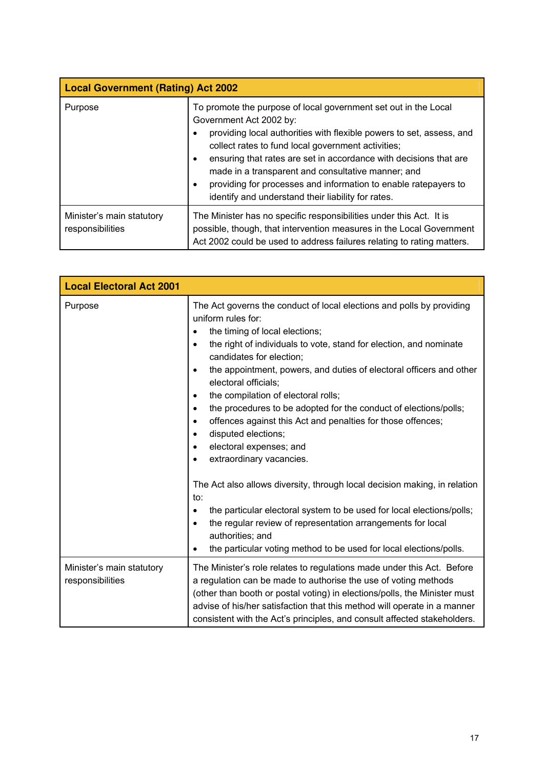| <b>Local Government (Rating) Act 2002</b>     |                                                                                                                                                                                                                                                                                                                                                                                                                                                                                   |  |
|-----------------------------------------------|-----------------------------------------------------------------------------------------------------------------------------------------------------------------------------------------------------------------------------------------------------------------------------------------------------------------------------------------------------------------------------------------------------------------------------------------------------------------------------------|--|
| Purpose                                       | To promote the purpose of local government set out in the Local<br>Government Act 2002 by:<br>providing local authorities with flexible powers to set, assess, and<br>collect rates to fund local government activities;<br>ensuring that rates are set in accordance with decisions that are<br>٠<br>made in a transparent and consultative manner; and<br>providing for processes and information to enable ratepayers to<br>identify and understand their liability for rates. |  |
| Minister's main statutory<br>responsibilities | The Minister has no specific responsibilities under this Act. It is<br>possible, though, that intervention measures in the Local Government<br>Act 2002 could be used to address failures relating to rating matters.                                                                                                                                                                                                                                                             |  |

| <b>Local Electoral Act 2001</b>               |                                                                                                                                                                                                                                                                                                                                                                                                                                                                                                                                                                                                                                                         |
|-----------------------------------------------|---------------------------------------------------------------------------------------------------------------------------------------------------------------------------------------------------------------------------------------------------------------------------------------------------------------------------------------------------------------------------------------------------------------------------------------------------------------------------------------------------------------------------------------------------------------------------------------------------------------------------------------------------------|
| Purpose                                       | The Act governs the conduct of local elections and polls by providing<br>uniform rules for:<br>the timing of local elections;<br>the right of individuals to vote, stand for election, and nominate<br>$\bullet$<br>candidates for election;<br>the appointment, powers, and duties of electoral officers and other<br>electoral officials;<br>the compilation of electoral rolls;<br>$\bullet$<br>the procedures to be adopted for the conduct of elections/polls;<br>$\bullet$<br>offences against this Act and penalties for those offences;<br>$\bullet$<br>disputed elections;<br>$\bullet$<br>electoral expenses; and<br>extraordinary vacancies. |
|                                               | The Act also allows diversity, through local decision making, in relation<br>to:<br>the particular electoral system to be used for local elections/polls;<br>$\bullet$<br>the regular review of representation arrangements for local<br>authorities; and<br>the particular voting method to be used for local elections/polls.                                                                                                                                                                                                                                                                                                                         |
| Minister's main statutory<br>responsibilities | The Minister's role relates to regulations made under this Act. Before<br>a regulation can be made to authorise the use of voting methods<br>(other than booth or postal voting) in elections/polls, the Minister must<br>advise of his/her satisfaction that this method will operate in a manner<br>consistent with the Act's principles, and consult affected stakeholders.                                                                                                                                                                                                                                                                          |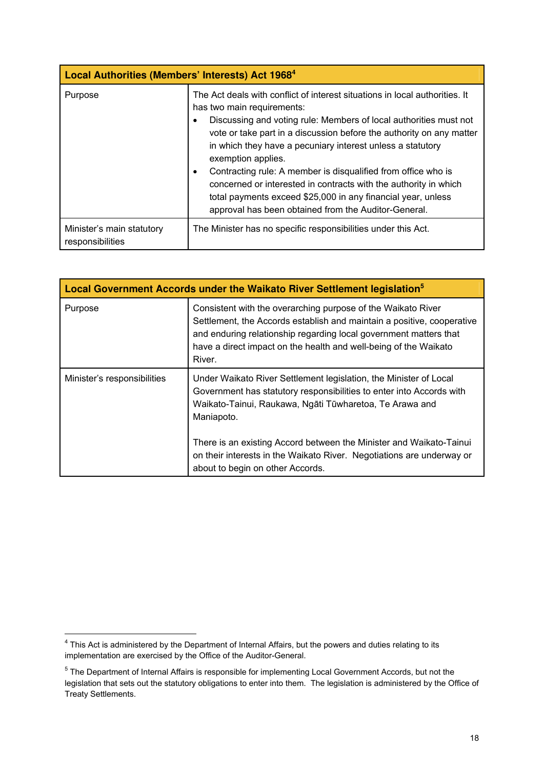| Local Authorities (Members' Interests) Act 1968 <sup>4</sup> |                                                                                                                                                                                                                                                                                                                                                                                                                                                                                                                                                                                                                           |
|--------------------------------------------------------------|---------------------------------------------------------------------------------------------------------------------------------------------------------------------------------------------------------------------------------------------------------------------------------------------------------------------------------------------------------------------------------------------------------------------------------------------------------------------------------------------------------------------------------------------------------------------------------------------------------------------------|
| Purpose                                                      | The Act deals with conflict of interest situations in local authorities. It<br>has two main requirements:<br>Discussing and voting rule: Members of local authorities must not<br>٠<br>vote or take part in a discussion before the authority on any matter<br>in which they have a pecuniary interest unless a statutory<br>exemption applies.<br>Contracting rule: A member is disqualified from office who is<br>$\bullet$<br>concerned or interested in contracts with the authority in which<br>total payments exceed \$25,000 in any financial year, unless<br>approval has been obtained from the Auditor-General. |
| Minister's main statutory<br>responsibilities                | The Minister has no specific responsibilities under this Act.                                                                                                                                                                                                                                                                                                                                                                                                                                                                                                                                                             |

| Local Government Accords under the Waikato River Settlement legislation <sup>5</sup> |                                                                                                                                                                                                                                                                                                                                                                    |
|--------------------------------------------------------------------------------------|--------------------------------------------------------------------------------------------------------------------------------------------------------------------------------------------------------------------------------------------------------------------------------------------------------------------------------------------------------------------|
| Purpose                                                                              | Consistent with the overarching purpose of the Waikato River<br>Settlement, the Accords establish and maintain a positive, cooperative<br>and enduring relationship regarding local government matters that<br>have a direct impact on the health and well-being of the Waikato<br>River.                                                                          |
| Minister's responsibilities                                                          | Under Waikato River Settlement legislation, the Minister of Local<br>Government has statutory responsibilities to enter into Accords with<br>Waikato-Tainui, Raukawa, Ngāti Tūwharetoa, Te Arawa and<br>Maniapoto.<br>There is an existing Accord between the Minister and Waikato-Tainui<br>on their interests in the Waikato River. Negotiations are underway or |
|                                                                                      | about to begin on other Accords.                                                                                                                                                                                                                                                                                                                                   |

-

<sup>&</sup>lt;sup>4</sup> This Act is administered by the Department of Internal Affairs, but the powers and duties relating to its implementation are exercised by the Office of the Auditor-General.

<sup>&</sup>lt;sup>5</sup> The Department of Internal Affairs is responsible for implementing Local Government Accords, but not the legislation that sets out the statutory obligations to enter into them. The legislation is administered by the Office of Treaty Settlements.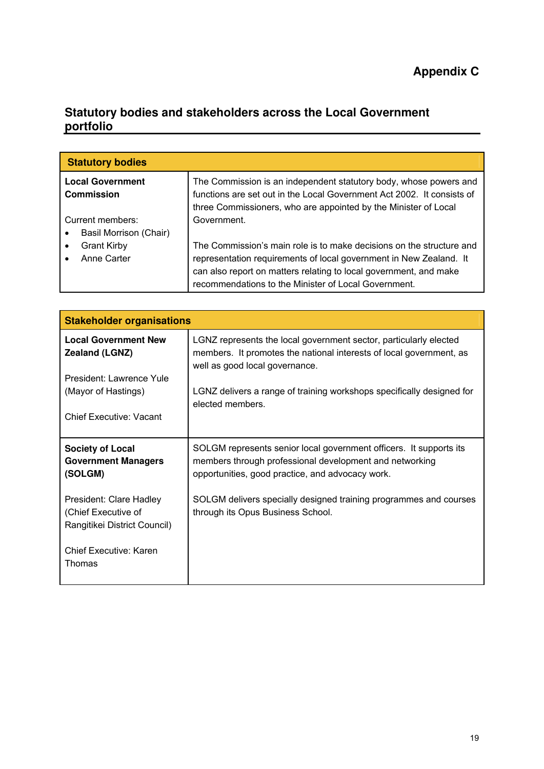### **Statutory bodies and stakeholders across the Local Government portfolio**

| <b>Statutory bodies</b>                                     |                                                                                                                                                                                                                                                                         |
|-------------------------------------------------------------|-------------------------------------------------------------------------------------------------------------------------------------------------------------------------------------------------------------------------------------------------------------------------|
| <b>Local Government</b><br>Commission<br>Current members:   | The Commission is an independent statutory body, whose powers and<br>functions are set out in the Local Government Act 2002. It consists of<br>three Commissioners, who are appointed by the Minister of Local<br>Government.                                           |
| Basil Morrison (Chair)<br><b>Grant Kirby</b><br>Anne Carter | The Commission's main role is to make decisions on the structure and<br>representation requirements of local government in New Zealand. It<br>can also report on matters relating to local government, and make<br>recommendations to the Minister of Local Government. |

| <b>Stakeholder organisations</b>                                               |                                                                                                                                                                                   |
|--------------------------------------------------------------------------------|-----------------------------------------------------------------------------------------------------------------------------------------------------------------------------------|
| <b>Local Government New</b><br>Zealand (LGNZ)                                  | LGNZ represents the local government sector, particularly elected<br>members. It promotes the national interests of local government, as<br>well as good local governance.        |
| President: Lawrence Yule                                                       |                                                                                                                                                                                   |
| (Mayor of Hastings)                                                            | LGNZ delivers a range of training workshops specifically designed for<br>elected members.                                                                                         |
| <b>Chief Executive: Vacant</b>                                                 |                                                                                                                                                                                   |
| <b>Society of Local</b><br><b>Government Managers</b><br>(SOLGM)               | SOLGM represents senior local government officers. It supports its<br>members through professional development and networking<br>opportunities, good practice, and advocacy work. |
| President: Clare Hadley<br>(Chief Executive of<br>Rangitikei District Council) | SOLGM delivers specially designed training programmes and courses<br>through its Opus Business School.                                                                            |
| <b>Chief Executive: Karen</b><br>Thomas                                        |                                                                                                                                                                                   |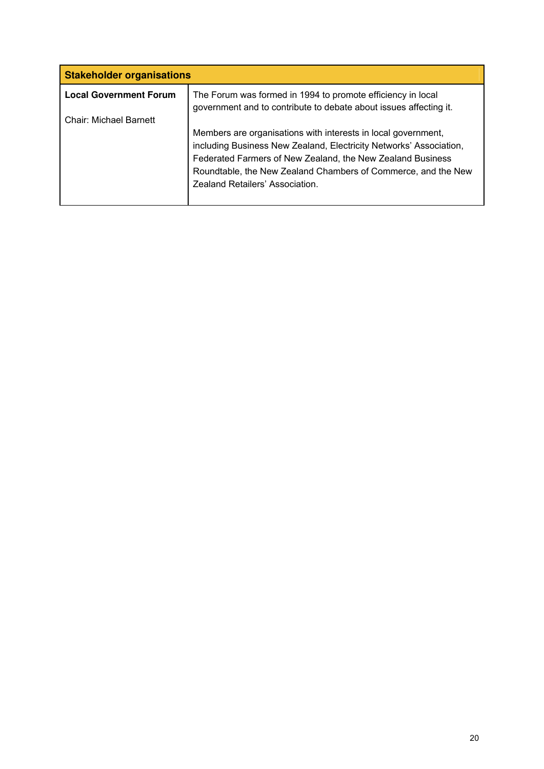| <b>Stakeholder organisations</b>                                                                                                                                                                                                                                                                      |  |
|-------------------------------------------------------------------------------------------------------------------------------------------------------------------------------------------------------------------------------------------------------------------------------------------------------|--|
| The Forum was formed in 1994 to promote efficiency in local<br>government and to contribute to debate about issues affecting it.                                                                                                                                                                      |  |
| Members are organisations with interests in local government,<br>including Business New Zealand, Electricity Networks' Association,<br>Federated Farmers of New Zealand, the New Zealand Business<br>Roundtable, the New Zealand Chambers of Commerce, and the New<br>Zealand Retailers' Association. |  |
|                                                                                                                                                                                                                                                                                                       |  |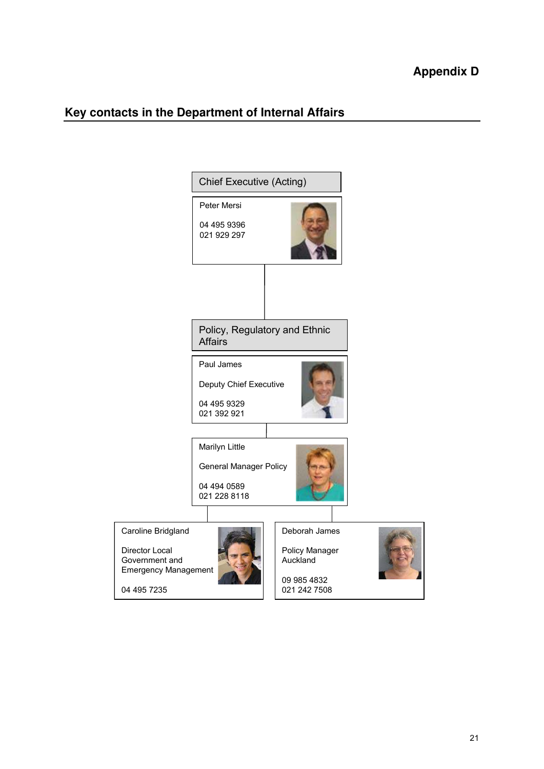## **Key contacts in the Department of Internal Affairs**

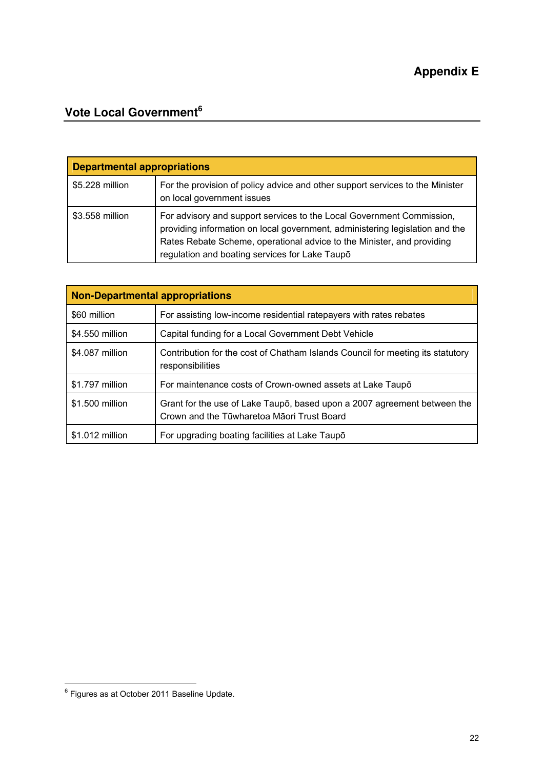## **Vote Local Government<sup>6</sup>**

| <b>Departmental appropriations</b> |                                                                                                                                                                                                                                                                                   |
|------------------------------------|-----------------------------------------------------------------------------------------------------------------------------------------------------------------------------------------------------------------------------------------------------------------------------------|
| \$5.228 million                    | For the provision of policy advice and other support services to the Minister<br>on local government issues                                                                                                                                                                       |
| \$3.558 million                    | For advisory and support services to the Local Government Commission,<br>providing information on local government, administering legislation and the<br>Rates Rebate Scheme, operational advice to the Minister, and providing<br>regulation and boating services for Lake Taupō |

| <b>Non-Departmental appropriations</b> |                                                                                                                        |  |  |
|----------------------------------------|------------------------------------------------------------------------------------------------------------------------|--|--|
| \$60 million                           | For assisting low-income residential ratepayers with rates rebates                                                     |  |  |
| \$4.550 million                        | Capital funding for a Local Government Debt Vehicle                                                                    |  |  |
| \$4,087 million                        | Contribution for the cost of Chatham Islands Council for meeting its statutory<br>responsibilities                     |  |  |
| \$1.797 million                        | For maintenance costs of Crown-owned assets at Lake Taupo                                                              |  |  |
| \$1.500 million                        | Grant for the use of Lake Taupo, based upon a 2007 agreement between the<br>Crown and the Tūwharetoa Māori Trust Board |  |  |
| \$1.012 million                        | For upgrading boating facilities at Lake Taupo                                                                         |  |  |

 6 Figures as at October 2011 Baseline Update.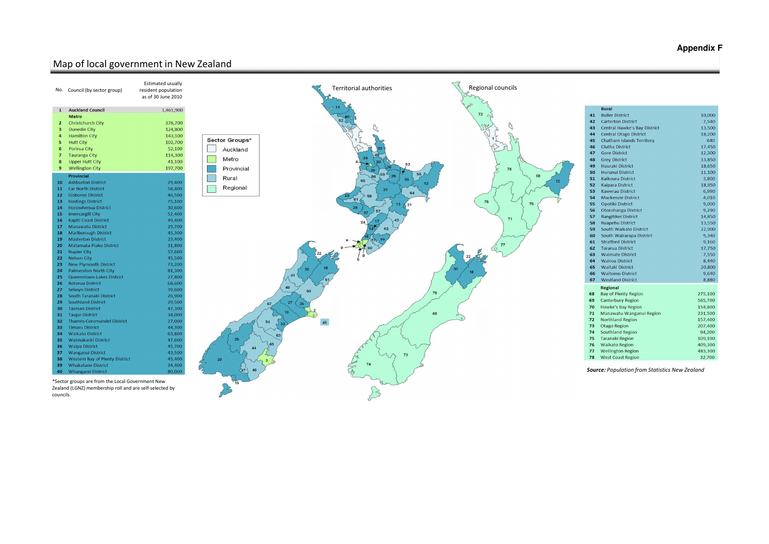*Source: Population from Statistics New Zealand*

## Map of local government in New Zealand



## **Appendix F**

|    | <b>Rural</b>                        |         |
|----|-------------------------------------|---------|
| 41 | <b>Buller District</b>              | 10,000  |
| 42 | <b>Carterton District</b>           | 7,540   |
| 43 | <b>Central Hawke's Bay District</b> | 13,500  |
| 44 | <b>Central Otago District</b>       | 18,200  |
| 45 | Chatham Islands Territory           | 640     |
| 46 | <b>Clutha District</b>              | 17,450  |
| 47 | <b>Gore District</b>                | 12,300  |
| 48 | <b>Grey District</b>                | 13,850  |
| 49 | Hauraki District                    | 18,650  |
| 50 | <b>Hurunui District</b>             | 11,100  |
| 51 | <b>Kaikoura District</b>            | 3,800   |
| 52 | <b>Kaipara District</b>             | 18,950  |
| 53 | <b>Kawerau District</b>             | 6,990   |
| 54 | <b>Mackenzie District</b>           | 4,010   |
| 55 | <b>Opotiki District</b>             | 9,000   |
| 56 | Otorohanga District                 | 9,290   |
| 57 | Rangitikei District                 | 14,850  |
| 58 | <b>Ruapehu District</b>             | 13,550  |
| 59 | South Waikato District              | 22,900  |
| 60 | South Wairarapa District            | 9,340   |
| 61 | <b>Stratford District</b>           | 9,160   |
| 62 | <b>Tararua District</b>             | 17,750  |
| 63 | <b>Waimate District</b>             | 7,550   |
| 64 | <b>Wairoa District</b>              | 8,440   |
| 65 | <b>Waitaki District</b>             | 20,800  |
| 66 | <b>Waitomo District</b>             | 9,640   |
| 67 | <b>Westland District</b>            | 8,880   |
|    | <b>Regional</b>                     |         |
| 68 | <b>Bay of Plenty Region</b>         | 275,100 |
| 69 | <b>Canterbury Region</b>            | 565,700 |
| 70 | Hawke's Bay Region                  | 154,800 |
| 71 | Manawatu-Wanganui Region            | 231,500 |
| 72 | Northland Region                    | 157,400 |
| 73 | Otago Region                        | 207,400 |
| 74 | <b>Southland Region</b>             | 94,200  |
| 75 | <b>Taranaki Region</b>              | 109,100 |
| 76 | <b>Waikato Region</b>               | 409,300 |
| 77 | <b>Wellington Region</b>            | 483,300 |
| 78 | <b>West Coast Region</b>            | 32,700  |